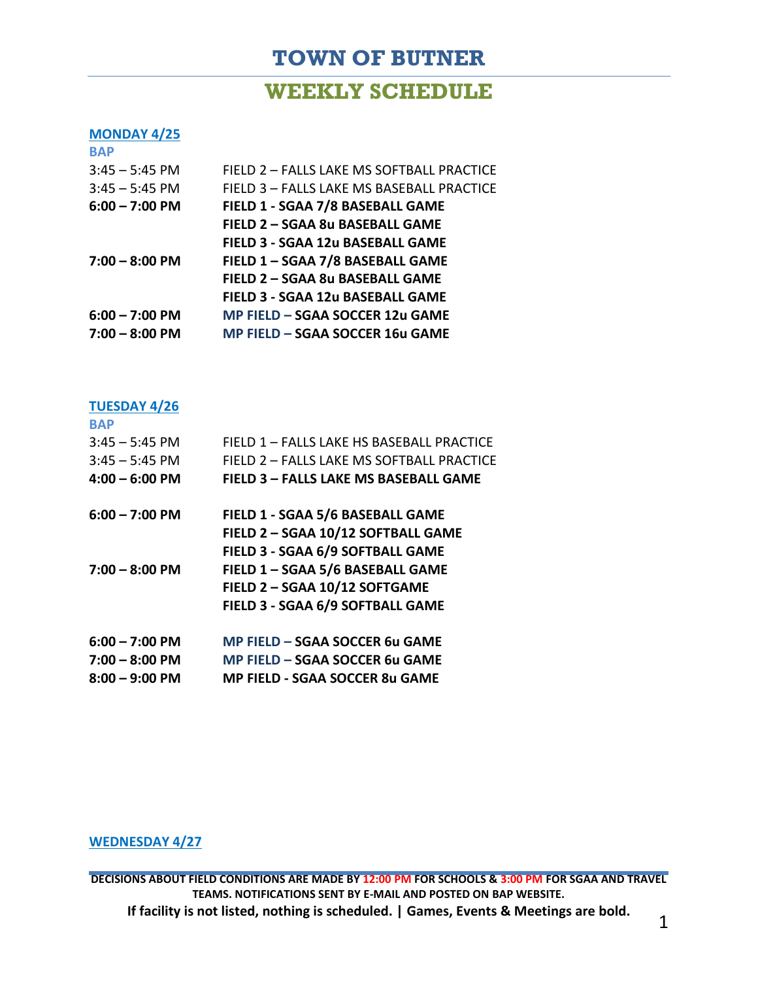# **TOWN OF BUTNER**

### **WEEKLY SCHEDULE**

#### **MONDAY 4/25**

| <b>BAP</b>       |                                           |
|------------------|-------------------------------------------|
| $3:45 - 5:45$ PM | FIELD 2 - FALLS LAKE MS SOFTBALL PRACTICE |
| $3:45 - 5:45$ PM | FIELD 3 - FALLS LAKE MS BASEBALL PRACTICE |
| $6:00 - 7:00$ PM | FIELD 1 - SGAA 7/8 BASEBALL GAME          |
|                  | FIELD 2 - SGAA 8u BASEBALL GAME           |
|                  | FIELD 3 - SGAA 12u BASEBALL GAME          |
| $7:00 - 8:00$ PM | FIELD 1 - SGAA 7/8 BASEBALL GAME          |
|                  | FIELD 2 - SGAA 8u BASEBALL GAME           |
|                  | <b>FIELD 3 - SGAA 12u BASEBALL GAME</b>   |
| $6:00 - 7:00$ PM | MP FIELD - SGAA SOCCER 12u GAME           |
| $7:00 - 8:00$ PM | MP FIELD - SGAA SOCCER 16u GAME           |

### **TUESDAY 4/26**

**BAP**

| ВАР              |                                              |
|------------------|----------------------------------------------|
| $3:45 - 5:45$ PM | FIELD 1 - FALLS LAKE HS BASEBALL PRACTICE    |
| $3:45 - 5:45$ PM | FIELD 2 - FALLS LAKE MS SOFTBALL PRACTICE    |
| $4:00 - 6:00$ PM | <b>FIELD 3 - FALLS LAKE MS BASEBALL GAME</b> |
| $6:00 - 7:00$ PM | FIELD 1 - SGAA 5/6 BASEBALL GAME             |
|                  | FIELD 2 - SGAA 10/12 SOFTBALL GAME           |
|                  | FIELD 3 - SGAA 6/9 SOFTBALL GAME             |
| $7:00 - 8:00$ PM | FIELD 1 - SGAA 5/6 BASEBALL GAME             |
|                  | FIELD 2 - SGAA 10/12 SOFTGAME                |
|                  | FIELD 3 - SGAA 6/9 SOFTBALL GAME             |
| $6:00 - 7:00$ PM | MP FIELD - SGAA SOCCER 6u GAME               |
| $7:00 - 8:00$ PM | MP FIELD - SGAA SOCCER 6u GAME               |
| $8:00 - 9:00$ PM | <b>MP FIELD - SGAA SOCCER 8u GAME</b>        |

#### **WEDNESDAY 4/27**

**DECISIONS ABOUT FIELD CONDITIONS ARE MADE BY 12:00 PM FOR SCHOOLS & 3:00 PM FOR SGAA AND TRAVEL TEAMS. NOTIFICATIONS SENT BY E-MAIL AND POSTED ON BAP WEBSITE. If facility is not listed, nothing is scheduled. | Games, Events & Meetings are bold.** 1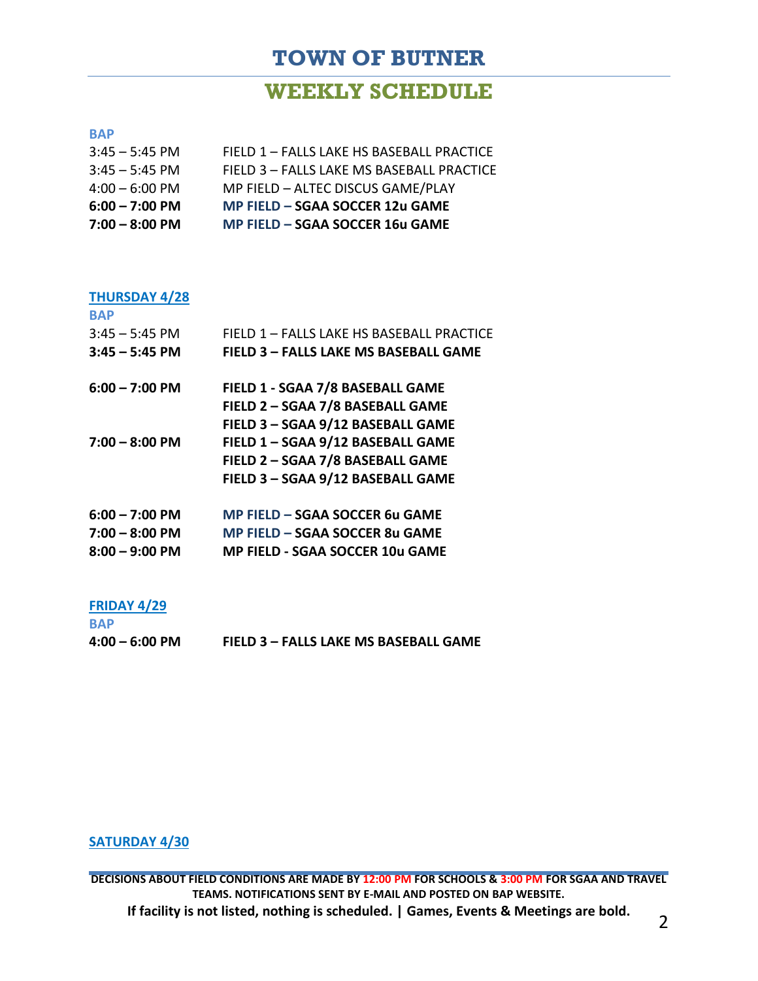## **TOWN OF BUTNER**

## **WEEKLY SCHEDULE**

#### **BAP**

| $7:00 - 8:00$ PM | MP FIELD - SGAA SOCCER 16u GAME           |
|------------------|-------------------------------------------|
| $6:00 - 7:00$ PM | MP FIELD - SGAA SOCCER 12u GAME           |
| $4:00 - 6:00$ PM | MP FIELD - ALTEC DISCUS GAME/PLAY         |
| $3:45 - 5:45$ PM | FIELD 3 - FALLS LAKE MS BASEBALL PRACTICE |
| $3:45 - 5:45$ PM | FIELD 1 - FALLS LAKE HS BASEBALL PRACTICE |

#### **THURSDAY 4/28**

| <b>BAP</b>       |                                              |
|------------------|----------------------------------------------|
| $3:45 - 5:45$ PM | FIELD 1 - FALLS LAKE HS BASEBALL PRACTICE    |
| $3:45 - 5:45$ PM | <b>FIELD 3 - FALLS LAKE MS BASEBALL GAME</b> |
| $6:00 - 7:00$ PM | FIELD 1 - SGAA 7/8 BASEBALL GAME             |
|                  | FIELD 2 - SGAA 7/8 BASEBALL GAME             |
|                  | FIELD 3 - SGAA 9/12 BASEBALL GAME            |
| $7:00 - 8:00$ PM | FIELD 1 - SGAA 9/12 BASEBALL GAME            |
|                  | FIELD 2 - SGAA 7/8 BASEBALL GAME             |
|                  | FIELD 3 - SGAA 9/12 BASEBALL GAME            |
| $6:00 - 7:00$ PM | MP FIELD - SGAA SOCCER 6u GAME               |
| $7:00 - 8:00$ PM | MP FIELD - SGAA SOCCER 8u GAME               |
| $8:00 - 9:00$ PM | <b>MP FIELD - SGAA SOCCER 10u GAME</b>       |
|                  |                                              |

#### **FRIDAY 4/29**

| <b>BAP</b>       |                                       |
|------------------|---------------------------------------|
| $4:00 - 6:00$ PM | FIELD 3 - FALLS LAKE MS BASEBALL GAME |

### **SATURDAY 4/30**

**DECISIONS ABOUT FIELD CONDITIONS ARE MADE BY 12:00 PM FOR SCHOOLS & 3:00 PM FOR SGAA AND TRAVEL TEAMS. NOTIFICATIONS SENT BY E-MAIL AND POSTED ON BAP WEBSITE. If facility is not listed, nothing is scheduled. | Games, Events & Meetings are bold.** <sup>2</sup>